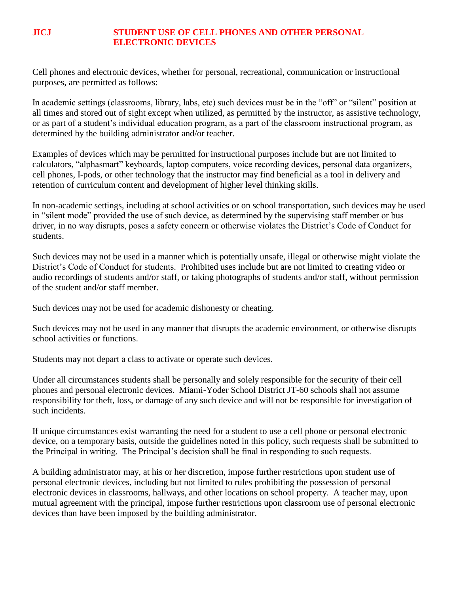## **JICJ STUDENT USE OF CELL PHONES AND OTHER PERSONAL ELECTRONIC DEVICES**

Cell phones and electronic devices, whether for personal, recreational, communication or instructional purposes, are permitted as follows:

In academic settings (classrooms, library, labs, etc) such devices must be in the "off" or "silent" position at all times and stored out of sight except when utilized, as permitted by the instructor, as assistive technology, or as part of a student's individual education program, as a part of the classroom instructional program, as determined by the building administrator and/or teacher.

Examples of devices which may be permitted for instructional purposes include but are not limited to calculators, "alphasmart" keyboards, laptop computers, voice recording devices, personal data organizers, cell phones, I-pods, or other technology that the instructor may find beneficial as a tool in delivery and retention of curriculum content and development of higher level thinking skills.

In non-academic settings, including at school activities or on school transportation, such devices may be used in "silent mode" provided the use of such device, as determined by the supervising staff member or bus driver, in no way disrupts, poses a safety concern or otherwise violates the District's Code of Conduct for students.

Such devices may not be used in a manner which is potentially unsafe, illegal or otherwise might violate the District's Code of Conduct for students. Prohibited uses include but are not limited to creating video or audio recordings of students and/or staff, or taking photographs of students and/or staff, without permission of the student and/or staff member.

Such devices may not be used for academic dishonesty or cheating.

Such devices may not be used in any manner that disrupts the academic environment, or otherwise disrupts school activities or functions.

Students may not depart a class to activate or operate such devices.

Under all circumstances students shall be personally and solely responsible for the security of their cell phones and personal electronic devices. Miami-Yoder School District JT-60 schools shall not assume responsibility for theft, loss, or damage of any such device and will not be responsible for investigation of such incidents.

If unique circumstances exist warranting the need for a student to use a cell phone or personal electronic device, on a temporary basis, outside the guidelines noted in this policy, such requests shall be submitted to the Principal in writing. The Principal's decision shall be final in responding to such requests.

A building administrator may, at his or her discretion, impose further restrictions upon student use of personal electronic devices, including but not limited to rules prohibiting the possession of personal electronic devices in classrooms, hallways, and other locations on school property. A teacher may, upon mutual agreement with the principal, impose further restrictions upon classroom use of personal electronic devices than have been imposed by the building administrator.